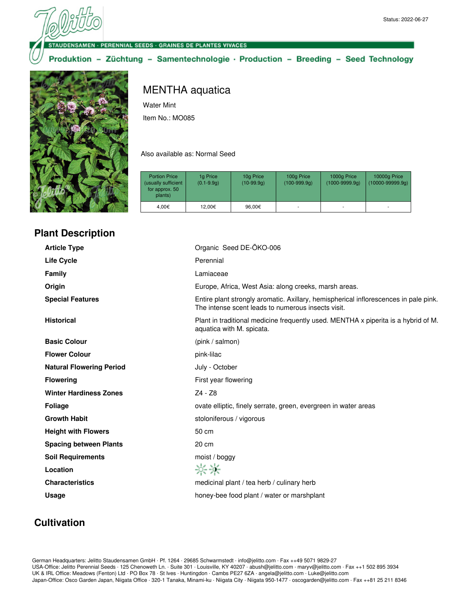ENSAMEN · PERENNIAL SEEDS · GRAINES DE PLANTES VIVACES

Produktion - Züchtung - Samentechnologie · Production - Breeding - Seed Technology



## **Plant Description**

MENTHA aquatica

Water Mint

Item No.: MO085

Also available as: Normal Seed

| <b>Portion Price</b><br>(usually sufficient<br>for approx. 50<br>plants) | 1g Price<br>$(0.1 - 9.9q)$ | 10g Price<br>$(10-99.9q)$ | 100g Price<br>$(100-999.9q)$ | 1000g Price<br>$(1000 - 9999.9q)$ | 10000g Price<br>$(10000 - 99999.9q)$ |
|--------------------------------------------------------------------------|----------------------------|---------------------------|------------------------------|-----------------------------------|--------------------------------------|
| 4.00€                                                                    | 12.00€                     | 96,00€                    |                              |                                   |                                      |

| <b>Article Type</b>             | Organic Seed DE-ÖKO-006                                                                                                                    |
|---------------------------------|--------------------------------------------------------------------------------------------------------------------------------------------|
| <b>Life Cycle</b>               | Perennial                                                                                                                                  |
| <b>Family</b>                   | Lamiaceae                                                                                                                                  |
| Origin                          | Europe, Africa, West Asia: along creeks, marsh areas.                                                                                      |
| <b>Special Features</b>         | Entire plant strongly aromatic. Axillary, hemispherical inflorescences in pale pink.<br>The intense scent leads to numerous insects visit. |
| <b>Historical</b>               | Plant in traditional medicine frequently used. MENTHA x piperita is a hybrid of M.<br>aquatica with M. spicata.                            |
| <b>Basic Colour</b>             | (pink / salmon)                                                                                                                            |
| <b>Flower Colour</b>            | pink-lilac                                                                                                                                 |
| <b>Natural Flowering Period</b> | July - October                                                                                                                             |
| <b>Flowering</b>                | First year flowering                                                                                                                       |
| <b>Winter Hardiness Zones</b>   | Z4 - Z8                                                                                                                                    |
| <b>Foliage</b>                  | ovate elliptic, finely serrate, green, evergreen in water areas                                                                            |
| <b>Growth Habit</b>             | stoloniferous / vigorous                                                                                                                   |
| <b>Height with Flowers</b>      | 50 cm                                                                                                                                      |
| <b>Spacing between Plants</b>   | 20 cm                                                                                                                                      |
| <b>Soil Requirements</b>        | moist / boggy                                                                                                                              |
| Location                        | 茶茶                                                                                                                                         |
| <b>Characteristics</b>          | medicinal plant / tea herb / culinary herb                                                                                                 |
| Usage                           | honey-bee food plant / water or marshplant                                                                                                 |
|                                 |                                                                                                                                            |

## **Cultivation**